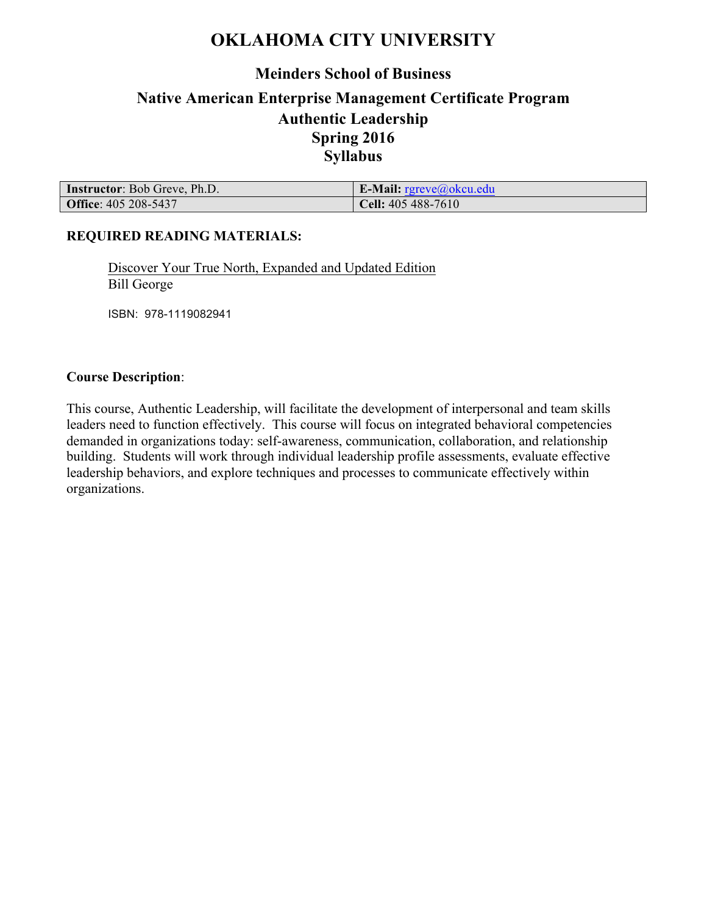## **OKLAHOMA CITY UNIVERSITY**

# **Meinders School of Business**

## **Native American Enterprise Management Certificate Program Authentic Leadership Spring 2016 Syllabus**

| <b>Instructor:</b> Bob Greve, Ph.D. | <b>E-Mail:</b> $r$ greve@okcu.edu |
|-------------------------------------|-----------------------------------|
| <b>Office: 405 208-5437</b>         | <b>Cell:</b> $405\,488-7610$      |

#### **REQUIRED READING MATERIALS:**

Discover Your True North, Expanded and Updated Edition Bill George

ISBN: 978-1119082941

#### **Course Description**:

This course, Authentic Leadership, will facilitate the development of interpersonal and team skills leaders need to function effectively. This course will focus on integrated behavioral competencies demanded in organizations today: self-awareness, communication, collaboration, and relationship building. Students will work through individual leadership profile assessments, evaluate effective leadership behaviors, and explore techniques and processes to communicate effectively within organizations.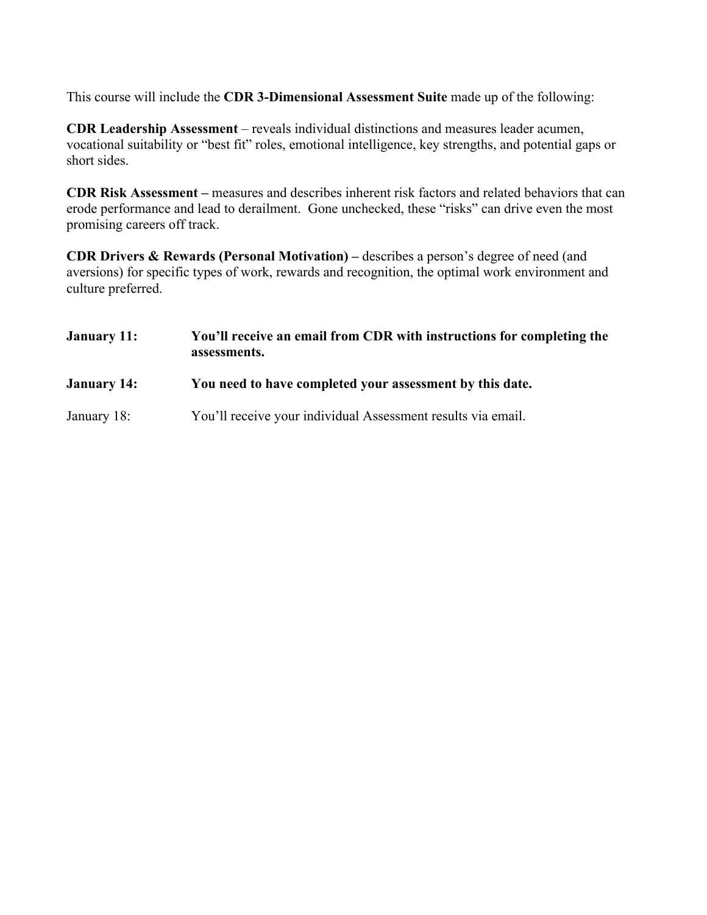This course will include the **CDR 3-Dimensional Assessment Suite** made up of the following:

**CDR Leadership Assessment** – reveals individual distinctions and measures leader acumen, vocational suitability or "best fit" roles, emotional intelligence, key strengths, and potential gaps or short sides.

**CDR Risk Assessment –** measures and describes inherent risk factors and related behaviors that can erode performance and lead to derailment. Gone unchecked, these "risks" can drive even the most promising careers off track.

**CDR Drivers & Rewards (Personal Motivation) –** describes a person's degree of need (and aversions) for specific types of work, rewards and recognition, the optimal work environment and culture preferred.

| January 11:        | You'll receive an email from CDR with instructions for completing the<br>assessments. |  |  |
|--------------------|---------------------------------------------------------------------------------------|--|--|
| <b>January 14:</b> | You need to have completed your assessment by this date.                              |  |  |
| January 18:        | You'll receive your individual Assessment results via email.                          |  |  |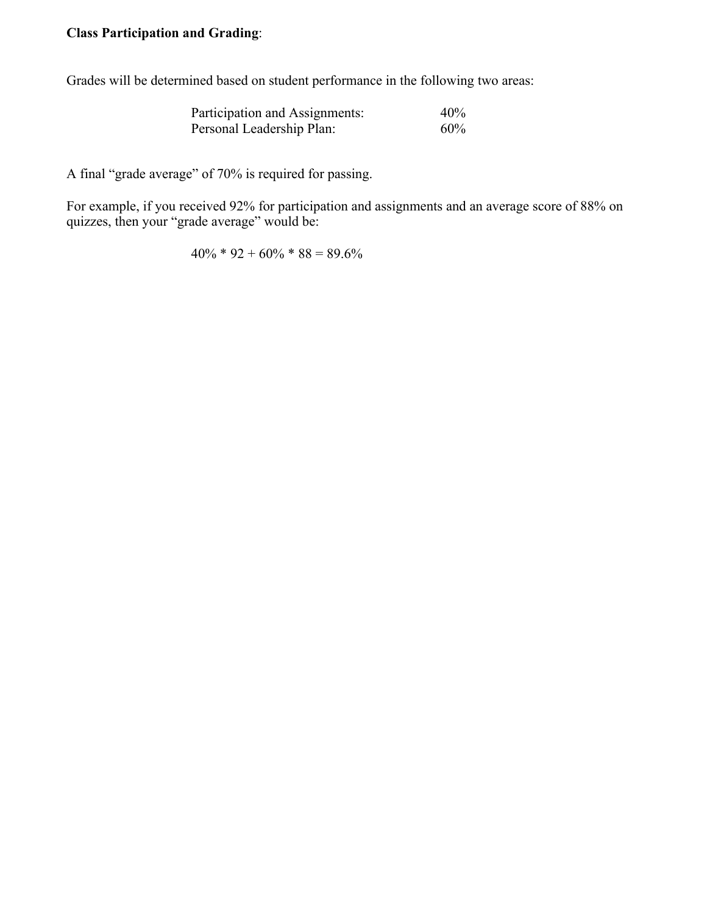### **Class Participation and Grading**:

Grades will be determined based on student performance in the following two areas:

| Participation and Assignments: | 40% |
|--------------------------------|-----|
| Personal Leadership Plan:      | 60% |

A final "grade average" of 70% is required for passing.

For example, if you received 92% for participation and assignments and an average score of 88% on quizzes, then your "grade average" would be:

 $40\% * 92 + 60\% * 88 = 89.6\%$